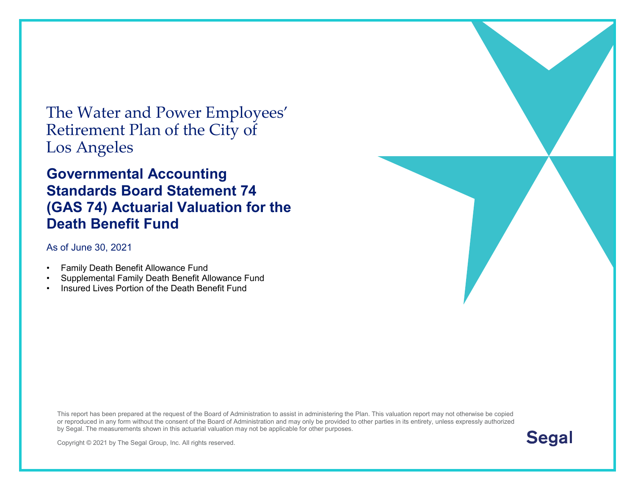The Water and Power Employees' Retirement Plan of the City of Los Angeles

#### **Governmental Accounting Standards Board Statement 74 (GAS 74) Actuarial Valuation for the Death Benefit Fund**

#### As of June 30, [2021](#page--1-0)

- Family Death Benefit Allowance Fund
- Supplemental Family Death Benefit Allowance Fund
- Insured Lives Portion of the Death Benefit Fund

This report has been prepared at the request of the Board of Administration to assist in administering the Plan. This valuation report may not otherwise be copied or reproduced in any form without the consent of the Board of Administration and may only be provided to other parties in its entirety, unless expressly authorized by Segal. The measurements shown in this actuarial valuation may not be applicable for other purposes.



Copyright © 2021 by The Segal Group, Inc. All rights reserved.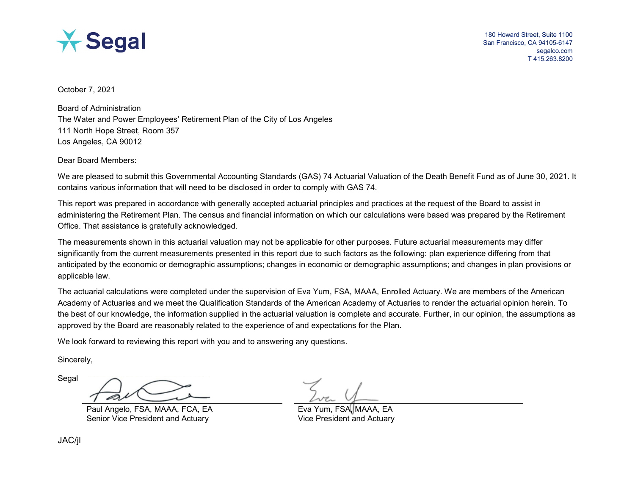

October 7, 2021

Board of Administration The Water and Power Employees' Retirement Plan of the City of Los Angeles 111 North Hope Street, Room 357 Los Angeles, CA 90012

Dear Board Members:

We are pleased to submit this Governmental Accounting Standards (GAS) 74 Actuarial Valuation of the Death Benefit Fund as of June 30, [2021.](#page--1-0) It contains various information that will need to be disclosed in order to comply with GAS 74.

This report was prepared in accordance with generally accepted actuarial principles and practices at the request of the Board to assist in administering the Retirement Plan. The census and financial information on which our calculations were based was prepared by the Retirement Office. That assistance is gratefully acknowledged.

The measurements shown in this actuarial valuation may not be applicable for other purposes. Future actuarial measurements may differ significantly from the current measurements presented in this report due to such factors as the following: plan experience differing from that anticipated by the economic or demographic assumptions; changes in economic or demographic assumptions; and changes in plan provisions or applicable law.

The actuarial calculations were completed under the supervision of Eva Yum, FSA, MAAA, Enrolled Actuary. We are members of the American Academy of Actuaries and we meet the Qualification Standards of the American Academy of Actuaries to render the actuarial opinion herein. To the best of our knowledge, the information supplied in the actuarial valuation is complete and accurate. Further, in our opinion, the assumptions as approved by the Board are reasonably related to the experience of and expectations for the Plan.

We look forward to reviewing this report with you and to answering any questions.

Sincerely,

Segal

Paul Angelo, FSA, MAAA, FCA, EA Exa Yum, FSA, MAAA, EA Senior Vice President and Actuary Vice President and Actuary

JAC/jl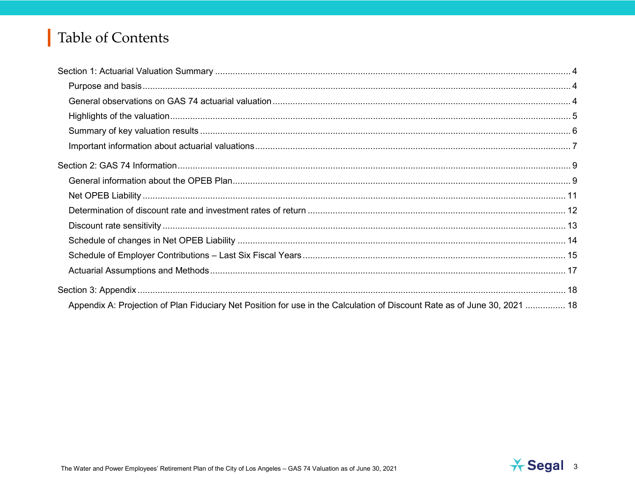# Table of Contents

| Appendix A: Projection of Plan Fiduciary Net Position for use in the Calculation of Discount Rate as of June 30, 2021  18 |  |
|---------------------------------------------------------------------------------------------------------------------------|--|

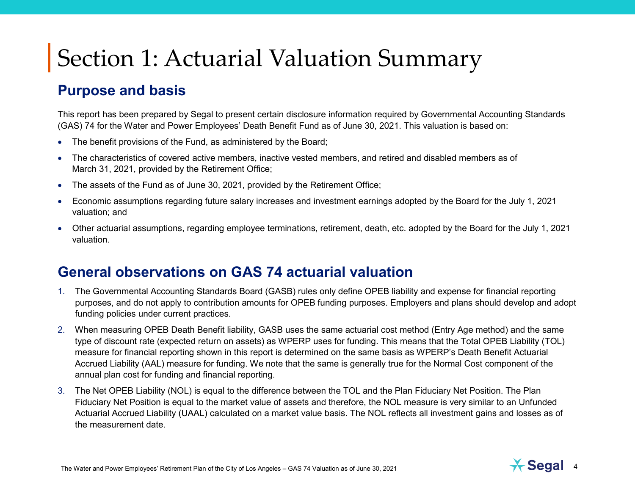#### **Purpose and basis**

This report has been prepared by Segal to present certain disclosure information required by Governmental Accounting Standards (GAS) 74 for the Water and Power Employees' Death Benefit Fund as of June 30, [2021.](#page--1-0) This valuation is based on:

- The benefit provisions of the Fund, as administered by the Board;
- The characteristics of covered active members, inactive vested members, and retired and disabled members as of March 31, [2021,](#page--1-0) provided by the Retirement Office;
- The assets of the Fund as of June 30, [2021,](#page--1-0) provided by the Retirement Office;
- Economic assumptions regarding future salary increases and investment earnings adopted by the Board for the July 1, [2021](#page--1-0) valuation; and
- Other actuarial assumptions, regarding employee terminations, retirement, death, etc. adopted by the Board for the July 1, [2021](#page--1-0) valuation.

#### **General observations on GAS 74 actuarial valuation**

- 1. The Governmental Accounting Standards Board (GASB) rules only define OPEB liability and expense for financial reporting purposes, and do not apply to contribution amounts for OPEB funding purposes. Employers and plans should develop and adopt funding policies under current practices.
- 2. When measuring OPEB Death Benefit liability, GASB uses the same actuarial cost method (Entry Age method) and the same type of discount rate (expected return on assets) as WPERP uses for funding. This means that the Total OPEB Liability (TOL) measure for financial reporting shown in this report is determined on the same basis as WPERP's Death Benefit Actuarial Accrued Liability (AAL) measure for funding. We note that the same is generally true for the Normal Cost component of the annual plan cost for funding and financial reporting.
- 3. The Net OPEB Liability (NOL) is equal to the difference between the TOL and the Plan Fiduciary Net Position. The Plan Fiduciary Net Position is equal to the market value of assets and therefore, the NOL measure is very similar to an Unfunded Actuarial Accrued Liability (UAAL) calculated on a market value basis. The NOL reflects all investment gains and losses as of the measurement date.

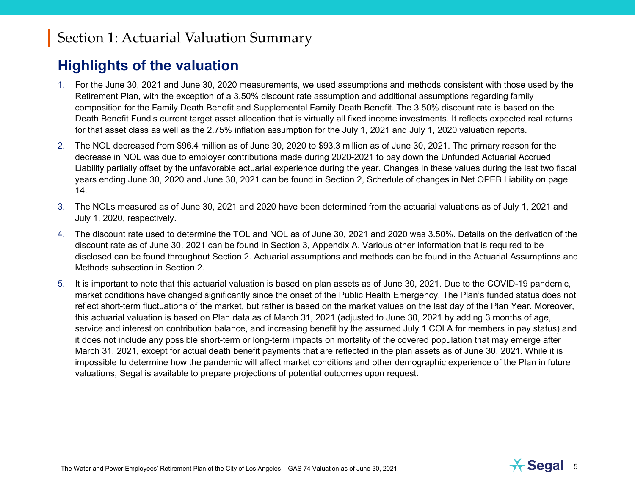#### **Highlights of the valuation**

- 1. For the June 30, [2021](#page--1-0) and June 30, [2020](#page--1-1) measurements, we used assumptions and methods consistent with those used by the Retirement Plan, with the exception of a 3.50% discount rate assumption and additional assumptions regarding family composition for the Family Death Benefit and Supplemental Family Death Benefit. The 3.50% discount rate is based on the Death Benefit Fund's current target asset allocation that is virtually all fixed income investments. It reflects expected real returns for that asset class as well as the 2.75% inflation assumption for the July 1, [2021](#page--1-0) and July 1, [2020](#page--1-1) valuation reports.
- 2. The NOL decreased from \$96.4 million as of June 30, [2020](#page--1-1) to \$93.3 million as of June 30, [2021.](#page--1-0) The primary reason for the decrease in NOL was due to employer contributions made during 2020-2021 to pay down the Unfunded Actuarial Accrued Liability partially offset by the unfavorable actuarial experience during the year. Changes in these values during the last two fiscal years ending June 30, [2020](#page--1-1) and June 30, [2021](#page--1-0) can be found in Section 2, Schedule of changes in Net OPEB Liability on page 14.
- 3. The NOLs measured as of June 30, [2021](#page--1-0) and [2020](#page--1-1) have been determined from the actuarial valuations as of July 1, [2021](#page--1-0) and July 1, [2020,](#page--1-1) respectively.
- 4. The discount rate used to determine the TOL and NOL as of June 30, [2021](#page--1-0) and [2020](#page--1-1) was 3.50%. Details on the derivation of the discount rate as of June 30, [2021](#page--1-0) can be found in Section 3, Appendix A. Various other information that is required to be disclosed can be found throughout Section 2. Actuarial assumptions and methods can be found in the Actuarial Assumptions and Methods subsection in Section 2.
- 5. It is important to note that this actuarial valuation is based on plan assets as of June 30, 2021. Due to the COVID-19 pandemic, market conditions have changed significantly since the onset of the Public Health Emergency. The Plan's funded status does not reflect short-term fluctuations of the market, but rather is based on the market values on the last day of the Plan Year. Moreover, this actuarial valuation is based on Plan data as of March 31, 2021 (adjusted to June 30, 2021 by adding 3 months of age, service and interest on contribution balance, and increasing benefit by the assumed July 1 COLA for members in pay status) and it does not include any possible short-term or long-term impacts on mortality of the covered population that may emerge after March 31, 2021, except for actual death benefit payments that are reflected in the plan assets as of June 30, 2021. While it is impossible to determine how the pandemic will affect market conditions and other demographic experience of the Plan in future valuations, Segal is available to prepare projections of potential outcomes upon request.

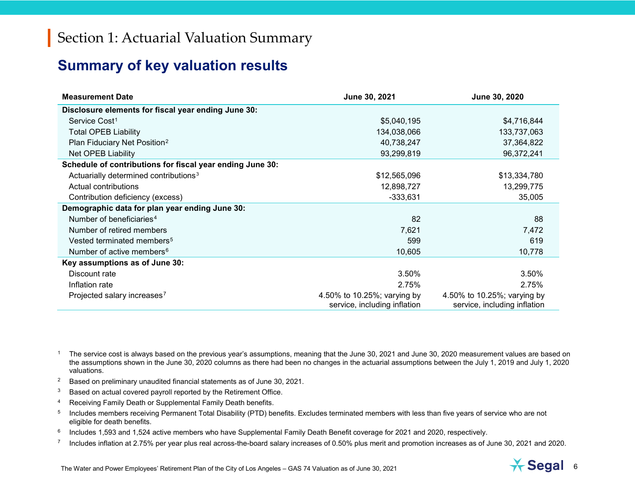#### <span id="page-5-6"></span><span id="page-5-5"></span><span id="page-5-4"></span><span id="page-5-3"></span><span id="page-5-2"></span><span id="page-5-1"></span><span id="page-5-0"></span>**Summary of key valuation results**

| <b>Measurement Date</b>                                   | June 30, 2021                                               | June 30, 2020                                               |
|-----------------------------------------------------------|-------------------------------------------------------------|-------------------------------------------------------------|
| Disclosure elements for fiscal year ending June 30:       |                                                             |                                                             |
| Service Cost <sup>1</sup>                                 | \$5,040,195                                                 | \$4,716,844                                                 |
| <b>Total OPEB Liability</b>                               | 134,038,066                                                 | 133,737,063                                                 |
| Plan Fiduciary Net Position <sup>2</sup>                  | 40,738,247                                                  | 37,364,822                                                  |
| <b>Net OPEB Liability</b>                                 | 93,299,819                                                  | 96,372,241                                                  |
| Schedule of contributions for fiscal year ending June 30: |                                                             |                                                             |
| Actuarially determined contributions <sup>3</sup>         | \$12,565,096                                                | \$13,334,780                                                |
| Actual contributions                                      | 12,898,727                                                  | 13,299,775                                                  |
| Contribution deficiency (excess)                          | $-333,631$                                                  | 35,005                                                      |
| Demographic data for plan year ending June 30:            |                                                             |                                                             |
| Number of beneficiaries <sup>4</sup>                      | 82                                                          | 88                                                          |
| Number of retired members                                 | 7,621                                                       | 7,472                                                       |
| Vested terminated members <sup>5</sup>                    | 599                                                         | 619                                                         |
| Number of active members <sup>6</sup>                     | 10,605                                                      | 10,778                                                      |
| Key assumptions as of June 30:                            |                                                             |                                                             |
| Discount rate                                             | 3.50%                                                       | 3.50%                                                       |
| Inflation rate                                            | 2.75%                                                       | 2.75%                                                       |
| Projected salary increases <sup>7</sup>                   | 4.50% to 10.25%; varying by<br>service, including inflation | 4.50% to 10.25%; varying by<br>service, including inflation |

<sup>1</sup> The service cost is always based on the previous year's assumptions, meaning that the June 30, [2021](#page--1-0) and June 30, [2020](#page--1-1) measurement values are based on the assumptions shown in the June 30, 2020 columns as there had been no changes in the actuarial assumptions between the July 1, 2019 and July 1, 2020 valuations.

- <sup>2</sup> Based on preliminary unaudited financial statements as of June 30[, 2021.](#page--1-0)
- $3$  Based on actual covered payroll reported by the Retirement Office.
- <sup>4</sup> Receiving Family Death or Supplemental Family Death benefits.
- <sup>5</sup> Includes members receiving Permanent Total Disability (PTD) benefits. Excludes terminated members with less than five years of service who are not eligible for death benefits.
- <sup>6</sup> Includes 1,593 and 1,524 active members who have Supplemental Family Death Benefit coverage for [2021](#page--1-0) and [2020,](#page--1-1) respectively.
- $7$  Includes inflation at 2.75% per year plus real across-the-board salary increases of 0.50% plus merit and promotion increases as of June 30, [2021](#page--1-0) an[d 2020.](#page--1-1)

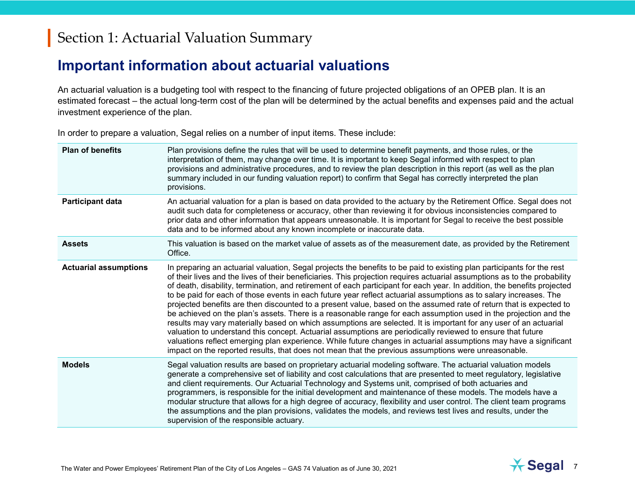#### **Important information about actuarial valuations**

An actuarial valuation is a budgeting tool with respect to the financing of future projected obligations of an OPEB plan. It is an estimated forecast – the actual long-term cost of the plan will be determined by the actual benefits and expenses paid and the actual investment experience of the plan.

In order to prepare a valuation, Segal relies on a number of input items. These include:

| <b>Plan of benefits</b>      | Plan provisions define the rules that will be used to determine benefit payments, and those rules, or the<br>interpretation of them, may change over time. It is important to keep Segal informed with respect to plan<br>provisions and administrative procedures, and to review the plan description in this report (as well as the plan<br>summary included in our funding valuation report) to confirm that Segal has correctly interpreted the plan<br>provisions.                                                                                                                                                                                                                                                                                                                                                                                                                                                                                                                                                                                                                                                                                                                                        |
|------------------------------|----------------------------------------------------------------------------------------------------------------------------------------------------------------------------------------------------------------------------------------------------------------------------------------------------------------------------------------------------------------------------------------------------------------------------------------------------------------------------------------------------------------------------------------------------------------------------------------------------------------------------------------------------------------------------------------------------------------------------------------------------------------------------------------------------------------------------------------------------------------------------------------------------------------------------------------------------------------------------------------------------------------------------------------------------------------------------------------------------------------------------------------------------------------------------------------------------------------|
| <b>Participant data</b>      | An actuarial valuation for a plan is based on data provided to the actuary by the Retirement Office. Segal does not<br>audit such data for completeness or accuracy, other than reviewing it for obvious inconsistencies compared to<br>prior data and other information that appears unreasonable. It is important for Segal to receive the best possible<br>data and to be informed about any known incomplete or inaccurate data.                                                                                                                                                                                                                                                                                                                                                                                                                                                                                                                                                                                                                                                                                                                                                                           |
| <b>Assets</b>                | This valuation is based on the market value of assets as of the measurement date, as provided by the Retirement<br>Office.                                                                                                                                                                                                                                                                                                                                                                                                                                                                                                                                                                                                                                                                                                                                                                                                                                                                                                                                                                                                                                                                                     |
| <b>Actuarial assumptions</b> | In preparing an actuarial valuation, Segal projects the benefits to be paid to existing plan participants for the rest<br>of their lives and the lives of their beneficiaries. This projection requires actuarial assumptions as to the probability<br>of death, disability, termination, and retirement of each participant for each year. In addition, the benefits projected<br>to be paid for each of those events in each future year reflect actuarial assumptions as to salary increases. The<br>projected benefits are then discounted to a present value, based on the assumed rate of return that is expected to<br>be achieved on the plan's assets. There is a reasonable range for each assumption used in the projection and the<br>results may vary materially based on which assumptions are selected. It is important for any user of an actuarial<br>valuation to understand this concept. Actuarial assumptions are periodically reviewed to ensure that future<br>valuations reflect emerging plan experience. While future changes in actuarial assumptions may have a significant<br>impact on the reported results, that does not mean that the previous assumptions were unreasonable. |
| <b>Models</b>                | Segal valuation results are based on proprietary actuarial modeling software. The actuarial valuation models<br>generate a comprehensive set of liability and cost calculations that are presented to meet regulatory, legislative<br>and client requirements. Our Actuarial Technology and Systems unit, comprised of both actuaries and<br>programmers, is responsible for the initial development and maintenance of these models. The models have a<br>modular structure that allows for a high degree of accuracy, flexibility and user control. The client team programs<br>the assumptions and the plan provisions, validates the models, and reviews test lives and results, under the<br>supervision of the responsible actuary.                                                                                                                                                                                                                                                                                                                                                                                                                                                                      |

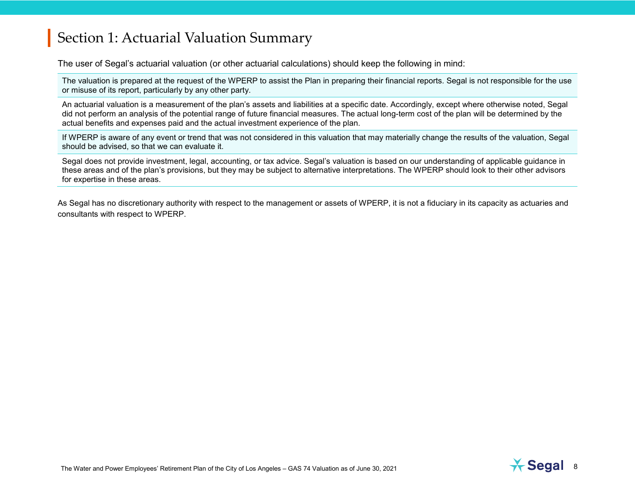The user of Segal's actuarial valuation (or other actuarial calculations) should keep the following in mind:

The valuation is prepared at the request of the WPERP to assist the Plan in preparing their financial reports. Segal is not responsible for the use or misuse of its report, particularly by any other party.

An actuarial valuation is a measurement of the plan's assets and liabilities at a specific date. Accordingly, except where otherwise noted, Segal did not perform an analysis of the potential range of future financial measures. The actual long-term cost of the plan will be determined by the actual benefits and expenses paid and the actual investment experience of the plan.

If WPERP is aware of any event or trend that was not considered in this valuation that may materially change the results of the valuation, Segal should be advised, so that we can evaluate it.

Segal does not provide investment, legal, accounting, or tax advice. Segal's valuation is based on our understanding of applicable guidance in these areas and of the plan's provisions, but they may be subject to alternative interpretations. The WPERP should look to their other advisors for expertise in these areas.

As Segal has no discretionary authority with respect to the management or assets of WPERP, it is not a fiduciary in its capacity as actuaries and consultants with respect to WPERP.



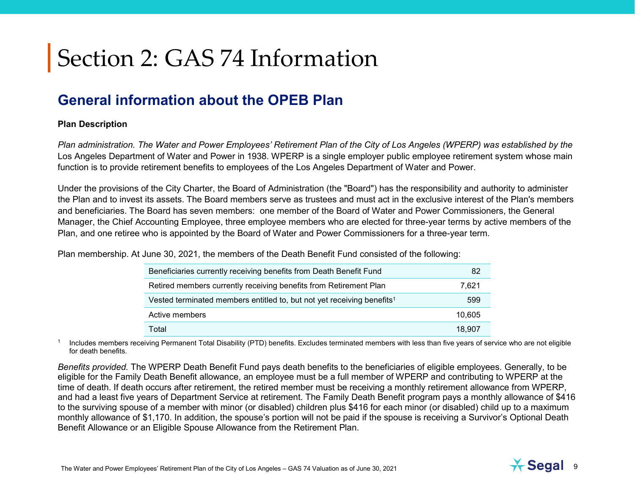## **General information about the OPEB Plan**

#### **Plan Description**

*Plan administration. The Water and Power Employees' Retirement Plan of the City of Los Angeles (WPERP) was established by the* Los Angeles Department of Water and Power in 1938. WPERP is a single employer public employee retirement system whose main function is to provide retirement benefits to employees of the Los Angeles Department of Water and Power.

Under the provisions of the City Charter, the Board of Administration (the "Board") has the responsibility and authority to administer the Plan and to invest its assets. The Board members serve as trustees and must act in the exclusive interest of the Plan's members and beneficiaries. The Board has seven members: one member of the Board of Water and Power Commissioners, the General Manager, the Chief Accounting Employee, three employee members who are elected for three-year terms by active members of the Plan, and one retiree who is appointed by the Board of Water and Power Commissioners for a three-year term.

Plan membership. At June 30, [2021,](#page--1-0) the members of the Death Benefit Fund consisted of the following:

| Beneficiaries currently receiving benefits from Death Benefit Fund                 | 82     |
|------------------------------------------------------------------------------------|--------|
| Retired members currently receiving benefits from Retirement Plan                  | 7.621  |
| Vested terminated members entitled to, but not yet receiving benefits <sup>1</sup> | 599    |
| Active members                                                                     | 10,605 |
| Total                                                                              | 18.907 |

<sup>1</sup> Includes members receiving Permanent Total Disability (PTD) benefits. Excludes terminated members with less than five years of service who are not eligible for death benefits.

*Benefits provided.* The WPERP Death Benefit Fund pays death benefits to the beneficiaries of eligible employees. Generally, to be eligible for the Family Death Benefit allowance, an employee must be a full member of WPERP and contributing to WPERP at the time of death. If death occurs after retirement, the retired member must be receiving a monthly retirement allowance from WPERP, and had a least five years of Department Service at retirement. The Family Death Benefit program pays a monthly allowance of \$416 to the surviving spouse of a member with minor (or disabled) children plus \$416 for each minor (or disabled) child up to a maximum monthly allowance of \$1,170. In addition, the spouse's portion will not be paid if the spouse is receiving a Survivor's Optional Death Benefit Allowance or an Eligible Spouse Allowance from the Retirement Plan.

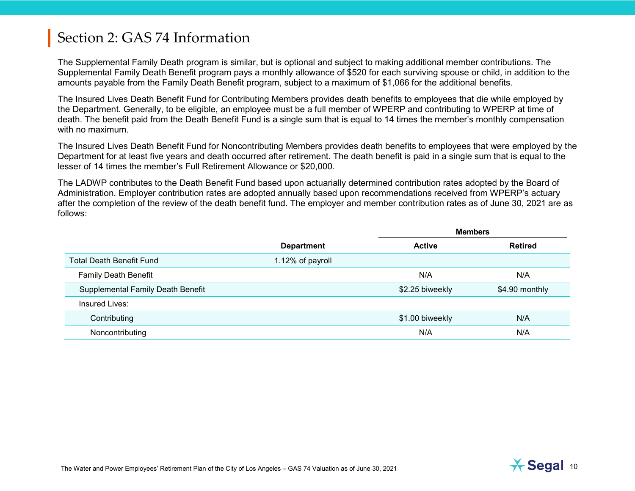The Supplemental Family Death program is similar, but is optional and subject to making additional member contributions. The Supplemental Family Death Benefit program pays a monthly allowance of \$520 for each surviving spouse or child, in addition to the amounts payable from the Family Death Benefit program, subject to a maximum of \$1,066 for the additional benefits.

The Insured Lives Death Benefit Fund for Contributing Members provides death benefits to employees that die while employed by the Department. Generally, to be eligible, an employee must be a full member of WPERP and contributing to WPERP at time of death. The benefit paid from the Death Benefit Fund is a single sum that is equal to 14 times the member's monthly compensation with no maximum.

The Insured Lives Death Benefit Fund for Noncontributing Members provides death benefits to employees that were employed by the Department for at least five years and death occurred after retirement. The death benefit is paid in a single sum that is equal to the lesser of 14 times the member's Full Retirement Allowance or \$20,000.

The LADWP contributes to the Death Benefit Fund based upon actuarially determined contribution rates adopted by the Board of Administration. Employer contribution rates are adopted annually based upon recommendations received from WPERP's actuary after the completion of the review of the death benefit fund. The employer and member contribution rates as of June 30, [2021](#page--1-0) are as follows:

|                                          |                   | <b>Members</b>  |                |
|------------------------------------------|-------------------|-----------------|----------------|
|                                          | <b>Department</b> | <b>Active</b>   | <b>Retired</b> |
| <b>Total Death Benefit Fund</b>          | 1.12% of payroll  |                 |                |
| <b>Family Death Benefit</b>              |                   | N/A             | N/A            |
| <b>Supplemental Family Death Benefit</b> |                   | \$2.25 biweekly | \$4.90 monthly |
| Insured Lives:                           |                   |                 |                |
| Contributing                             |                   | \$1.00 biweekly | N/A            |
| Noncontributing                          |                   | N/A             | N/A            |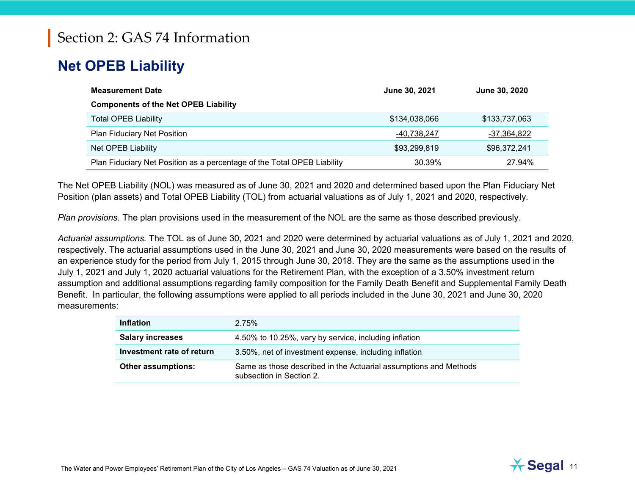# **Net OPEB Liability**

| <b>Measurement Date</b>                                                 | June 30, 2021 | June 30, 2020 |
|-------------------------------------------------------------------------|---------------|---------------|
| <b>Components of the Net OPEB Liability</b>                             |               |               |
| <b>Total OPEB Liability</b>                                             | \$134,038,066 | \$133,737,063 |
| <b>Plan Fiduciary Net Position</b>                                      | -40,738,247   | -37,364,822   |
| Net OPEB Liability                                                      | \$93,299,819  | \$96,372,241  |
| Plan Fiduciary Net Position as a percentage of the Total OPEB Liability | 30.39%        | 27.94%        |

The Net OPEB Liability (NOL) was measured as of June 30, [2021](#page--1-0) and [2020](#page--1-1) and determined based upon the Plan Fiduciary Net Position (plan assets) and Total OPEB Liability (TOL) from actuarial valuations as of July 1, [2021](#page--1-0) and [2020,](#page--1-1) respectively.

*Plan provisions.* The plan provisions used in the measurement of the NOL are the same as those described previously.

*Actuarial assumptions.* The TOL as of June 30, [2021](#page--1-0) and [2020](#page--1-1) were determined by actuarial valuations as of July 1, [2021](#page--1-0) and [2020,](#page--1-1) respectively. The actuarial assumptions used in the June 30, [2021](#page--1-0) and June 30, 2020 measurements were based on the results of an experience study for the period from July 1, 2015 through June 30, 2018. They are the same as the assumptions used in the July 1, [2021](#page--1-0) and July 1, 2020 actuarial valuations for the Retirement Plan, with the exception of a 3.50% investment return assumption and additional assumptions regarding family composition for the Family Death Benefit and Supplemental Family Death Benefit. In particular, the following assumptions were applied to all periods included in the June 30, 2021 and June 30, 2020 measurements:

| <b>Inflation</b>          | 2.75%                                                                                        |
|---------------------------|----------------------------------------------------------------------------------------------|
| <b>Salary increases</b>   | 4.50% to 10.25%, vary by service, including inflation                                        |
| Investment rate of return | 3.50%, net of investment expense, including inflation                                        |
| <b>Other assumptions:</b> | Same as those described in the Actuarial assumptions and Methods<br>subsection in Section 2. |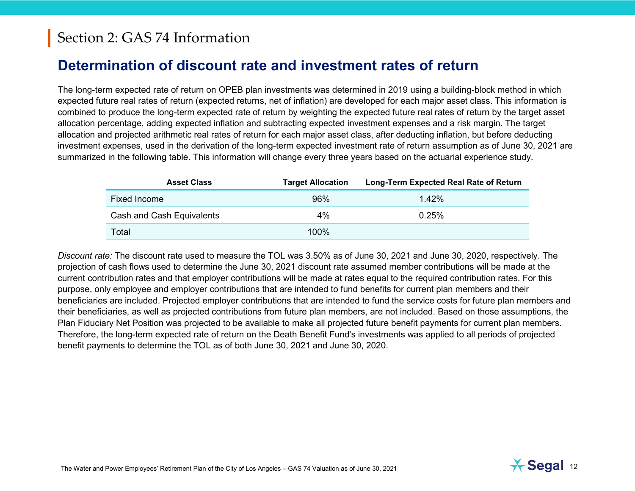#### **Determination of discount rate and investment rates of return**

The long-term expected rate of return on OPEB plan investments was determined in 2019 using a building-block method in which expected future real rates of return (expected returns, net of inflation) are developed for each major asset class. This information is combined to produce the long-term expected rate of return by weighting the expected future real rates of return by the target asset allocation percentage, adding expected inflation and subtracting expected investment expenses and a risk margin. The target allocation and projected arithmetic real rates of return for each major asset class, after deducting inflation, but before deducting investment expenses, used in the derivation of the long-term expected investment rate of return assumption as of June 30, [2021](#page--1-0) are summarized in the following table. This information will change every three years based on the actuarial experience study.

| <b>Asset Class</b>        | <b>Target Allocation</b> | Long-Term Expected Real Rate of Return |
|---------------------------|--------------------------|----------------------------------------|
| <b>Fixed Income</b>       | 96%                      | 1.42%                                  |
| Cash and Cash Equivalents | $4\%$                    | 0.25%                                  |
| Total                     | $100\%$                  |                                        |

*Discount rate:* The discount rate used to measure the TOL was 3.50% as of June 30, [2021](#page--1-0) and June 30, [2020,](#page--1-1) respectively. The projection of cash flows used to determine the June 30, [2021](#page--1-0) discount rate assumed member contributions will be made at the current contribution rates and that employer contributions will be made at rates equal to the required contribution rates. For this purpose, only employee and employer contributions that are intended to fund benefits for current plan members and their beneficiaries are included. Projected employer contributions that are intended to fund the service costs for future plan members and their beneficiaries, as well as projected contributions from future plan members, are not included. Based on those assumptions, the Plan Fiduciary Net Position was projected to be available to make all projected future benefit payments for current plan members. Therefore, the long-term expected rate of return on the Death Benefit Fund's investments was applied to all periods of projected benefit payments to determine the TOL as of both June 30, [2021](#page--1-0) and June 30, [2020.](#page--1-1)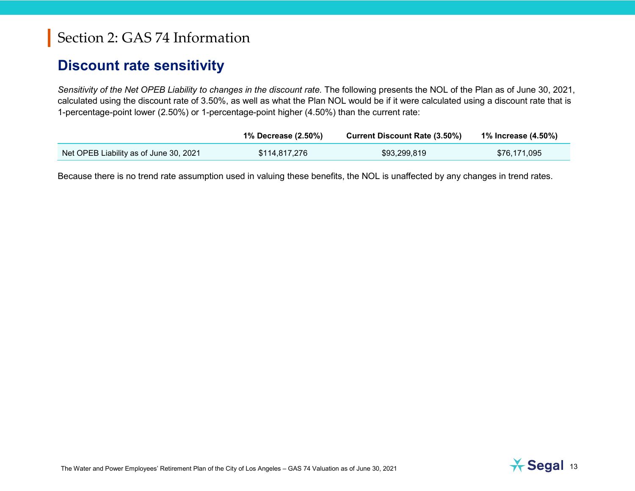#### **Discount rate sensitivity**

*Sensitivity of the Net OPEB Liability to changes in the discount rate.* The following presents the NOL of the Plan as of June 30, [2021,](#page--1-0) calculated using the discount rate of 3.50%, as well as what the Plan NOL would be if it were calculated using a discount rate that is 1-percentage-point lower (2.50%) or 1-percentage-point higher (4.50%) than the current rate:

|                                        | 1% Decrease (2.50%) | <b>Current Discount Rate (3.50%)</b> | 1% Increase (4.50%) |
|----------------------------------------|---------------------|--------------------------------------|---------------------|
| Net OPEB Liability as of June 30, 2021 | \$114,817,276       | \$93,299,819                         | \$76,171,095        |

Because there is no trend rate assumption used in valuing these benefits, the NOL is unaffected by any changes in trend rates.

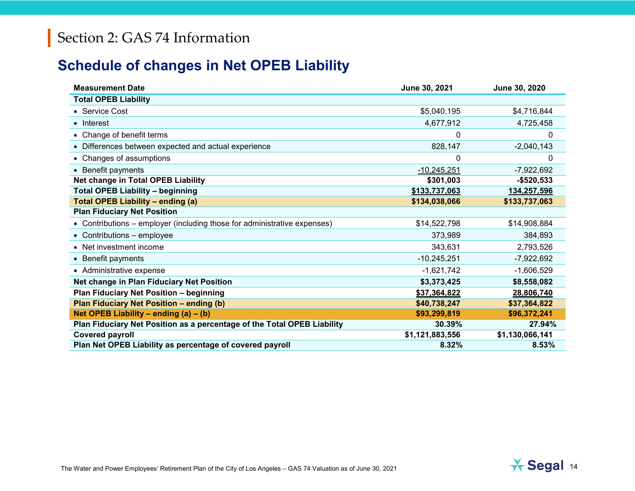## **Schedule of changes in Net OPEB Liability**

| <b>Measurement Date</b>                                                  | June 30, 2021   | June 30, 2020   |
|--------------------------------------------------------------------------|-----------------|-----------------|
| <b>Total OPEB Liability</b>                                              |                 |                 |
| • Service Cost                                                           | \$5,040,195     | \$4,716,844     |
| • Interest                                                               | 4,677,912       | 4,725,458       |
| • Change of benefit terms                                                | 0               | 0               |
| • Differences between expected and actual experience                     | 828,147         | $-2,040,143$    |
| • Changes of assumptions                                                 | 0               | 0               |
| • Benefit payments                                                       | $-10,245,251$   | $-7,922,692$    |
| <b>Net change in Total OPEB Liability</b>                                | \$301,003       | $-$520,533$     |
| <b>Total OPEB Liability - beginning</b>                                  | \$133,737,063   | 134,257,596     |
| <b>Total OPEB Liability - ending (a)</b>                                 | \$134,038,066   | \$133,737,063   |
| <b>Plan Fiduciary Net Position</b>                                       |                 |                 |
| • Contributions – employer (including those for administrative expenses) | \$14,522,798    | \$14,908,884    |
| • Contributions - employee                                               | 373,989         | 384,893         |
| • Net investment income                                                  | 343,631         | 2,793,526       |
| • Benefit payments                                                       | $-10,245,251$   | $-7,922,692$    |
| • Administrative expense                                                 | $-1,621,742$    | $-1,606,529$    |
| Net change in Plan Fiduciary Net Position                                | \$3,373,425     | \$8,558,082     |
| <b>Plan Fiduciary Net Position - beginning</b>                           | \$37,364,822    | 28,806,740      |
| Plan Fiduciary Net Position - ending (b)                                 | \$40,738,247    | \$37,364,822    |
| Net OPEB Liability – ending $(a) - (b)$                                  | \$93,299,819    | \$96,372,241    |
| Plan Fiduciary Net Position as a percentage of the Total OPEB Liability  | 30.39%          | 27.94%          |
| <b>Covered payroll</b>                                                   | \$1,121,883,556 | \$1,130,066,141 |
| Plan Net OPEB Liability as percentage of covered payroll                 | 8.32%           | 8.53%           |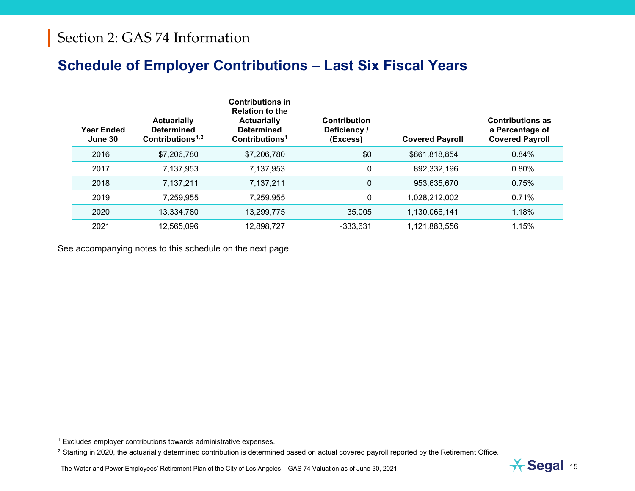### <span id="page-14-1"></span><span id="page-14-0"></span>**Schedule of Employer Contributions – Last Six Fiscal Years**

| Year Ended<br>June 30 | <b>Actuarially</b><br><b>Determined</b><br>Contributions <sup>1,2</sup> | <b>Contributions in</b><br><b>Relation to the</b><br><b>Actuarially</b><br><b>Determined</b><br>Contributions <sup>1</sup> | Contribution<br>Deficiency /<br>(Excess) | <b>Covered Payroll</b> | <b>Contributions as</b><br>a Percentage of<br><b>Covered Payroll</b> |
|-----------------------|-------------------------------------------------------------------------|----------------------------------------------------------------------------------------------------------------------------|------------------------------------------|------------------------|----------------------------------------------------------------------|
| 2016                  | \$7,206,780                                                             | \$7,206,780                                                                                                                | \$0                                      | \$861,818,854          | 0.84%                                                                |
| 2017                  | 7,137,953                                                               | 7,137,953                                                                                                                  | 0                                        | 892,332,196            | 0.80%                                                                |
| 2018                  | 7,137,211                                                               | 7,137,211                                                                                                                  | 0                                        | 953,635,670            | 0.75%                                                                |
| 2019                  | 7,259,955                                                               | 7,259,955                                                                                                                  | 0                                        | 1,028,212,002          | 0.71%                                                                |
| 2020                  | 13,334,780                                                              | 13,299,775                                                                                                                 | 35,005                                   | 1,130,066,141          | 1.18%                                                                |
| 2021                  | 12,565,096                                                              | 12,898,727                                                                                                                 | $-333,631$                               | 1,121,883,556          | 1.15%                                                                |

See accompanying notes to this schedule on the next page.

<sup>1</sup> Excludes employer contributions towards administrative expenses.

<sup>2</sup> Starting in 2020, the actuarially determined contribution is determined based on actual covered payroll reported by the Retirement Office.

The Water and Power Employees' Retirement Plan of the City of Los Angeles – GAS 74 Valuation as of June 30, 2021 15

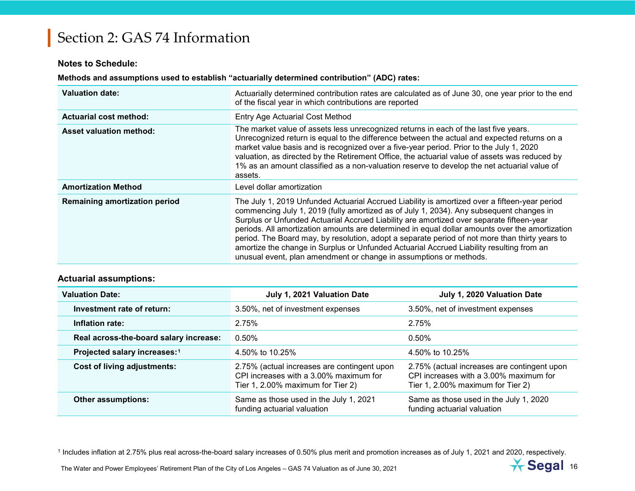#### <span id="page-15-0"></span>**Notes to Schedule:**

#### **Methods and assumptions used to establish "actuarially determined contribution" (ADC) rates:**

| <b>Valuation date:</b>               | Actuarially determined contribution rates are calculated as of June 30, one year prior to the end<br>of the fiscal year in which contributions are reported                                                                                                                                                                                                                                                                                                                                                                                                                                                                                                |
|--------------------------------------|------------------------------------------------------------------------------------------------------------------------------------------------------------------------------------------------------------------------------------------------------------------------------------------------------------------------------------------------------------------------------------------------------------------------------------------------------------------------------------------------------------------------------------------------------------------------------------------------------------------------------------------------------------|
| <b>Actuarial cost method:</b>        | <b>Entry Age Actuarial Cost Method</b>                                                                                                                                                                                                                                                                                                                                                                                                                                                                                                                                                                                                                     |
| <b>Asset valuation method:</b>       | The market value of assets less unrecognized returns in each of the last five years.<br>Unrecognized return is equal to the difference between the actual and expected returns on a<br>market value basis and is recognized over a five-year period. Prior to the July 1, 2020<br>valuation, as directed by the Retirement Office, the actuarial value of assets was reduced by<br>1% as an amount classified as a non-valuation reserve to develop the net actuarial value of<br>assets.                                                                                                                                                                  |
| <b>Amortization Method</b>           | Level dollar amortization                                                                                                                                                                                                                                                                                                                                                                                                                                                                                                                                                                                                                                  |
| <b>Remaining amortization period</b> | The July 1, 2019 Unfunded Actuarial Accrued Liability is amortized over a fifteen-year period<br>commencing July 1, 2019 (fully amortized as of July 1, 2034). Any subsequent changes in<br>Surplus or Unfunded Actuarial Accrued Liability are amortized over separate fifteen-year<br>periods. All amortization amounts are determined in equal dollar amounts over the amortization<br>period. The Board may, by resolution, adopt a separate period of not more than thirty years to<br>amortize the change in Surplus or Unfunded Actuarial Accrued Liability resulting from an<br>unusual event, plan amendment or change in assumptions or methods. |

#### **Actuarial assumptions:**

| <b>Valuation Date:</b>                   | July 1, 2021 Valuation Date                                                                                                | July 1, 2020 Valuation Date                                                                                                |  |
|------------------------------------------|----------------------------------------------------------------------------------------------------------------------------|----------------------------------------------------------------------------------------------------------------------------|--|
| Investment rate of return:               | 3.50%, net of investment expenses                                                                                          | 3.50%, net of investment expenses                                                                                          |  |
| Inflation rate:                          | 2.75%                                                                                                                      | 2.75%                                                                                                                      |  |
| Real across-the-board salary increase:   | 0.50%                                                                                                                      | 0.50%                                                                                                                      |  |
| Projected salary increases: <sup>1</sup> | 4.50% to 10.25%                                                                                                            | 4.50% to 10.25%                                                                                                            |  |
| Cost of living adjustments:              | 2.75% (actual increases are contingent upon<br>CPI increases with a 3.00% maximum for<br>Tier 1, 2.00% maximum for Tier 2) | 2.75% (actual increases are contingent upon<br>CPI increases with a 3,00% maximum for<br>Tier 1, 2.00% maximum for Tier 2) |  |
| <b>Other assumptions:</b>                | Same as those used in the July 1, 2021<br>funding actuarial valuation                                                      | Same as those used in the July 1, 2020<br>funding actuarial valuation                                                      |  |

<sup>1</sup> Includes inflation at 2.75% plus real across-the-board salary increases of 0.50% plus merit and promotion increases as of July 1, 2021 and 2020, respectively.

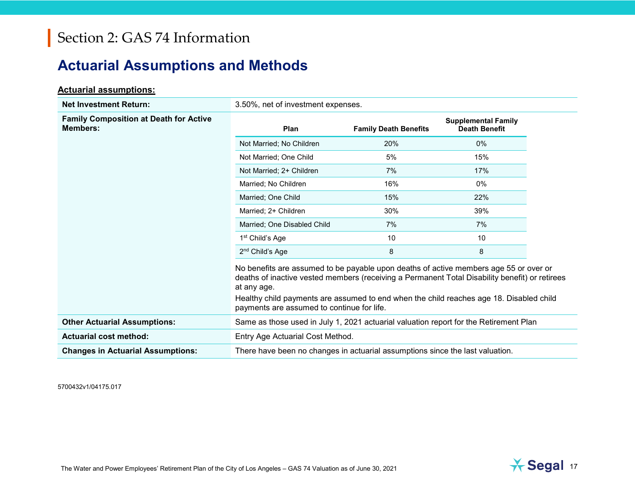## **Actuarial Assumptions and Methods**

#### **Actuarial assumptions:**

| <b>Net Investment Return:</b>                                    | 3.50%, net of investment expenses.                                                                                                                                                                                                                                                                                                              |                              |                                                    |  |  |
|------------------------------------------------------------------|-------------------------------------------------------------------------------------------------------------------------------------------------------------------------------------------------------------------------------------------------------------------------------------------------------------------------------------------------|------------------------------|----------------------------------------------------|--|--|
| <b>Family Composition at Death for Active</b><br><b>Members:</b> | Plan                                                                                                                                                                                                                                                                                                                                            | <b>Family Death Benefits</b> | <b>Supplemental Family</b><br><b>Death Benefit</b> |  |  |
|                                                                  | Not Married; No Children                                                                                                                                                                                                                                                                                                                        | 20%                          | 0%                                                 |  |  |
|                                                                  | Not Married; One Child                                                                                                                                                                                                                                                                                                                          | 5%                           | 15%                                                |  |  |
|                                                                  | Not Married; 2+ Children                                                                                                                                                                                                                                                                                                                        | 7%                           | 17%                                                |  |  |
|                                                                  | Married; No Children                                                                                                                                                                                                                                                                                                                            | 16%                          | 0%                                                 |  |  |
|                                                                  | Married; One Child                                                                                                                                                                                                                                                                                                                              | 15%                          | 22%                                                |  |  |
|                                                                  | Married: 2+ Children                                                                                                                                                                                                                                                                                                                            | 30%                          | 39%                                                |  |  |
|                                                                  | Married; One Disabled Child                                                                                                                                                                                                                                                                                                                     | 7%                           | 7%                                                 |  |  |
|                                                                  | 1 <sup>st</sup> Child's Age                                                                                                                                                                                                                                                                                                                     | 10                           | 10                                                 |  |  |
|                                                                  | 2 <sup>nd</sup> Child's Age                                                                                                                                                                                                                                                                                                                     | 8                            | 8                                                  |  |  |
|                                                                  | No benefits are assumed to be payable upon deaths of active members age 55 or over or<br>deaths of inactive vested members (receiving a Permanent Total Disability benefit) or retirees<br>at any age.<br>Healthy child payments are assumed to end when the child reaches age 18. Disabled child<br>payments are assumed to continue for life. |                              |                                                    |  |  |
| <b>Other Actuarial Assumptions:</b>                              | Same as those used in July 1, 2021 actuarial valuation report for the Retirement Plan                                                                                                                                                                                                                                                           |                              |                                                    |  |  |
| <b>Actuarial cost method:</b>                                    | Entry Age Actuarial Cost Method.                                                                                                                                                                                                                                                                                                                |                              |                                                    |  |  |
| <b>Changes in Actuarial Assumptions:</b>                         | There have been no changes in actuarial assumptions since the last valuation.                                                                                                                                                                                                                                                                   |                              |                                                    |  |  |

5700432v1/04175.017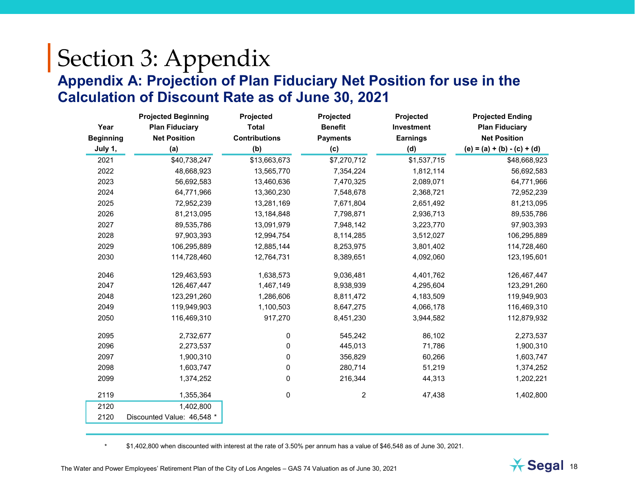# Section 3: Appendix **Appendix A: Projection of Plan Fiduciary Net Position for use in the Calculation of Discount Rate as of June 30, [2021](#page--1-0)**

|                  | <b>Projected Beginning</b> | Projected            | Projected       | Projected       | <b>Projected Ending</b>       |
|------------------|----------------------------|----------------------|-----------------|-----------------|-------------------------------|
| Year             | <b>Plan Fiduciary</b>      | <b>Total</b>         | <b>Benefit</b>  | Investment      | <b>Plan Fiduciary</b>         |
| <b>Beginning</b> | <b>Net Position</b>        | <b>Contributions</b> | <b>Payments</b> | <b>Earnings</b> | <b>Net Position</b>           |
| July 1,          | (a)                        | (b)                  | (c)             | (d)             | $(e) = (a) + (b) - (c) + (d)$ |
| 2021             | \$40,738,247               | \$13,663,673         | \$7,270,712     | \$1,537,715     | \$48,668,923                  |
| 2022             | 48,668,923                 | 13,565,770           | 7,354,224       | 1,812,114       | 56,692,583                    |
| 2023             | 56,692,583                 | 13,460,636           | 7,470,325       | 2,089,071       | 64,771,966                    |
| 2024             | 64,771,966                 | 13,360,230           | 7,548,678       | 2,368,721       | 72,952,239                    |
| 2025             | 72,952,239                 | 13,281,169           | 7,671,804       | 2,651,492       | 81,213,095                    |
| 2026             | 81,213,095                 | 13,184,848           | 7,798,871       | 2,936,713       | 89,535,786                    |
| 2027             | 89,535,786                 | 13,091,979           | 7,948,142       | 3,223,770       | 97,903,393                    |
| 2028             | 97,903,393                 | 12,994,754           | 8,114,285       | 3,512,027       | 106,295,889                   |
| 2029             | 106,295,889                | 12,885,144           | 8,253,975       | 3,801,402       | 114,728,460                   |
| 2030             | 114,728,460                | 12,764,731           | 8,389,651       | 4,092,060       | 123,195,601                   |
| 2046             | 129,463,593                | 1,638,573            | 9,036,481       | 4,401,762       | 126,467,447                   |
| 2047             | 126,467,447                | 1,467,149            | 8,938,939       | 4,295,604       | 123,291,260                   |
| 2048             | 123,291,260                | 1,286,606            | 8,811,472       | 4,183,509       | 119,949,903                   |
| 2049             | 119,949,903                | 1,100,503            | 8,647,275       | 4,066,178       | 116,469,310                   |
| 2050             | 116,469,310                | 917,270              | 8,451,230       | 3,944,582       | 112,879,932                   |
| 2095             | 2,732,677                  | 0                    | 545,242         | 86,102          | 2,273,537                     |
| 2096             | 2,273,537                  | 0                    | 445,013         | 71,786          | 1,900,310                     |
| 2097             | 1,900,310                  | 0                    | 356,829         | 60,266          | 1,603,747                     |
| 2098             | 1,603,747                  | 0                    | 280,714         | 51,219          | 1,374,252                     |
| 2099             | 1,374,252                  | 0                    | 216,344         | 44,313          | 1,202,221                     |
| 2119             | 1,355,364                  | 0                    | 2               | 47,438          | 1,402,800                     |
| 2120             | 1,402,800                  |                      |                 |                 |                               |
| 2120             | Discounted Value: 46,548 * |                      |                 |                 |                               |

\* \$1,402,800 when discounted with interest at the rate of 3.50% per annum has a value of \$46,548 as of June 30, 2021.